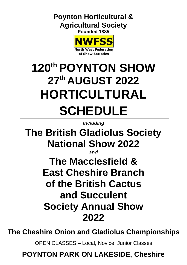**Poynton Horticultural & Agricultural Society**



**North West Federation** of Show Societies

# **120th POYNTON SHOW 27 th AUGUST 2022 HORTICULTURAL SCHEDULE**

*Including*

**The British Gladiolus Society National Show 2022**

*and* 

**The Macclesfield & East Cheshire Branch of the British Cactus and Succulent Society Annual Show 2022**

**The Cheshire Onion and Gladiolus Championships**

OPEN CLASSES – Local, Novice, Junior Classes

**POYNTON PARK ON LAKESIDE, Cheshire**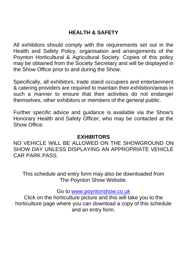# **HEALTH & SAFETY**

All exhibitors should comply with the requirements set out in the Health and Safety Policy, organisation and arrangements of the Poynton Horticultural & Agricultural Society. Copies of this policy may be obtained from the Society Secretary and will be displayed in the Show Office prior to and during the Show.

Specifically, all exhibitors, trade stand occupiers and entertainment & catering providers are required to maintain their exhibition/areas in such a manner to ensure that their activities do not endanger themselves, other exhibitors or members of the general public.

Further specific advice and guidance is available via the Show's Honorary Health and Safety Officer, who may be contacted at the Show Office

# **EXHIBITORS**

NO VEHICLE WILL BE ALLOWED ON THE SHOWGROUND ON SHOW DAY UNLESS DISPLAYING AN APPROPRIATE VEHICLE CAR PARK PASS.

This schedule and entry form may also be downloaded from The Poynton Show Website.

Go to [www.poyntonshow.co.uk](http://www.poyntonshow.co.uk/)

Click on the horticulture picture and this will take you to the horticulture page where you can download a copy of this schedule and an entry form.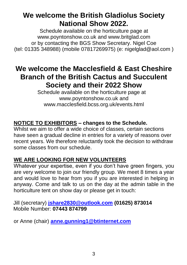# **We welcome the British Gladiolus Society National Show 2022.**

Schedule available on the horticulture page at [www.poyntonshow.co.uk a](http://www.poyntonshow.co.uk/)nd [www.britglad.com](http://www.britglad.com/) or by contacting the BGS Show Secretary. Nigel Coe (tel: 01335 348988) (mobile 07817269975) (e: [nigelglad@aol.com \)](mailto:nigelglad@aol.com)

# **We welcome the Macclesfield & East Cheshire Branch of the British Cactus and Succulent Society and their 2022 Show**

Schedule available on the horticulture page at [www.poyntonshow.co.uk](http://www.poyntonshow.co.uk/) and [www.macclesfield.bcss.org.uk/events.html](http://www.macclesfield.bcss.org.uk/events.html)

# **NOTICE TO EXHIBITORS – changes to the Schedule.**

Whilst we aim to offer a wide choice of classes, certain sections have seen a gradual decline in entries for a variety of reasons over recent years. We therefore reluctantly took the decision to withdraw some classes from our schedule.

# **WE ARE LOOKING FOR NEW VOLUNTEERS**

Whatever your expertise, even if you don't have green fingers, you are very welcome to join our friendly group. We meet 8 times a year and would love to hear from you if you are interested in helping in anyway. Come and talk to us on the day at the admin table in the horticulture tent on show day or please get in touch:

Jill (secretary) **[jshare2830@outlook.com](mailto:jshare2830@outlook.com) (01625) 873014** Mobile Number: **07443 874799**

or Anne (chair) **[anne.gunning1@btinternet.com](mailto:anne.gunning1@btinternet.com)**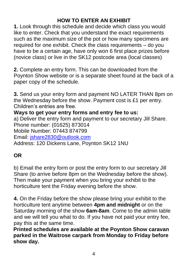# **HOW TO ENTER AN EXHIBIT**

**1.** Look through this schedule and decide which class you would like to enter. Check that you understand the exact requirements such as the maximum size of the pot or how many specimens are required for one exhibit. Check the class requirements – do you have to be a certain age, have only won 6 first place prizes before (novice class) or live in the SK12 postcode area (local classes)

**2.** Complete an entry form. This can be downloaded from the Poynton Show website or is a separate sheet found at the back of a paper copy of the schedule.

**3.** Send us your entry form and payment NO LATER THAN 8pm on the Wednesday before the show. Payment cost is £1 per entry. Children's entries are free.

# **Ways to get your entry forms and entry fee to us:**

a) Deliver the entry form and payment to our secretary Jill Share. Phone number: (01625) 873014 Mobile Number: 07443 874799 Email: [jshare2830@outlook.com](mailto:jshare2830@outlook.com) Address: 120 Dickens Lane, Poynton SK12 1NU

# **OR**

b) Email the entry form or post the entry form to our secretary Jill Share (to arrive before 8pm on the Wednesday before the show). Then make your payment when you bring your exhibit to the horticulture tent the Friday evening before the show.

**4.** On the Friday before the show please bring your exhibit to the horticulture tent anytime between **4pm and midnight** or on the Saturday morning of the show **6am-8am**. Come to the admin table and we will tell you what to do. If you have not paid your entry fee, pay this at the same time.

**Printed schedules are available at the Poynton Show caravan parked in the Waitrose carpark from Monday to Friday before show day.**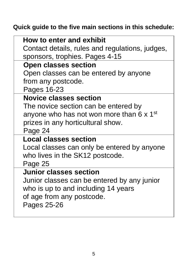**Quick guide to the five main sections in this schedule:**

| <b>How to enter and exhibit</b>                    |
|----------------------------------------------------|
| Contact details, rules and regulations, judges,    |
| sponsors, trophies. Pages 4-15                     |
| <b>Open classes section</b>                        |
| Open classes can be entered by anyone              |
| from any postcode.                                 |
| Pages 16-23                                        |
| <b>Novice classes section</b>                      |
| The novice section can be entered by               |
| anyone who has not won more than $6 \times 1^{st}$ |
| prizes in any horticultural show.                  |
| Page 24                                            |
| <b>Local classes section</b>                       |
| Local classes can only be entered by anyone        |
| who lives in the SK12 postcode.                    |
| Page 25                                            |
| <b>Junior classes section</b>                      |
| Junior classes can be entered by any junior        |
| who is up to and including 14 years                |
| of age from any postcode.                          |
| Pages 25-26                                        |
|                                                    |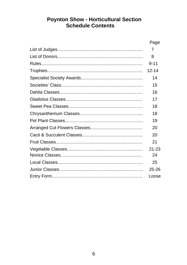# **Poynton Show - Horticultural Section<br>Schedule Contents**

| Page      |
|-----------|
| 7         |
| 8         |
| $9 - 11$  |
| 12-14     |
| 14        |
| 15        |
| 16        |
| 17        |
| 18        |
| 18        |
| 19        |
| 20        |
| 20        |
| 21        |
| $21 - 23$ |
| 24        |
| 25        |
| $25 - 26$ |
| Loose     |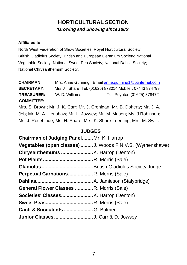# **HORTICULTURAL SECTION** *'Growing and Showing since 1885'*

#### **Affiliated to:**

North West Federation of Show Societies; Royal Horticultural Society; British Gladiolus Society; British and European Geranium Society; National Vegetable Society; National Sweet Pea Society; National Dahlia Society; National Chrysanthemum Society.

|                | Mrs. Anne Gunning Email anne.gunning1@btinternet.com                      |
|----------------|---------------------------------------------------------------------------|
|                | Mrs. Jill Share Tel: (01625) 873014 Mobile: 07443 874799                  |
| W. D. Williams | Tel: Poynton (01625) 878472                                               |
|                |                                                                           |
|                | Mrs. S. Brown; Mr. J. K. Carr; Mr. J. Crenigan, Mr. B. Doherty; Mr. J. A. |
|                |                                                                           |

Job; Mr. M. A. Henshaw; Mr. L. Jowsey; Mr. M. Mason; Ms. J Robinson; Ms. J. Roseblade, Ms. H. Share; Mrs. K. Share-Leeming; Mrs. M. Swift.

#### **JUDGES**

| Chairman of Judging Panel Mr. K. Harrop |                                                            |
|-----------------------------------------|------------------------------------------------------------|
|                                         | Vegetables (open classes)  J. Woods F.N.V.S. (Wythenshawe) |
|                                         |                                                            |
|                                         |                                                            |
|                                         |                                                            |
| Perpetual CarnationsR. Morris (Sale)    |                                                            |
|                                         |                                                            |
| General Flower Classes R. Morris (Sale) |                                                            |
|                                         |                                                            |
|                                         |                                                            |
|                                         |                                                            |
| Junior Classes J. Carr & D. Jowsey      |                                                            |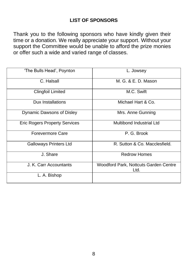# **LIST OF SPONSORS**

Thank you to the following sponsors who have kindly given their time or a donation. We really appreciate your support. Without your support the Committee would be unable to afford the prize monies or offer such a wide and varied range of classes.

| 'The Bulls Head', Poynton            | L. Jowsey                                     |
|--------------------------------------|-----------------------------------------------|
| C. Halsall                           | M. G. & E. D. Mason                           |
| <b>Clingfoil Limited</b>             | M.C. Swift                                    |
| Dux Installations                    | Michael Hart & Co.                            |
| Dynamic Dawsons of Disley            | Mrs. Anne Gunning                             |
| <b>Eric Rogers Property Services</b> | Multibond Industrial Ltd                      |
| Forevermore Care                     | P. G. Brook                                   |
| <b>Galloways Printers Ltd</b>        | R. Sutton & Co. Macclesfield.                 |
| J. Share                             | <b>Redrow Homes</b>                           |
| J. K. Carr Accountants               | Woodford Park, Nottcuts Garden Centre<br>Ltd. |
| L. A. Bishop                         |                                               |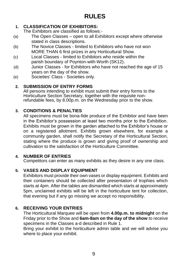#### **1. CLASSIFICATION OF EXHIBITORS:**

The Exhibitors are classified as follows:-

- (a) The Open Classes open to all Exhibitors except where otherwise stated in class descriptions.
- (b) The Novice Classes limited to Exhibitors who have not won MORE THAN 6 first prizes in any Horticultural Show.
- (c) Local Classes limited to Exhibitors who reside within the parish boundary of Poynton-with-Worth (SK12).
- (d) Junior Classes for Exhibitors who have not reached the age of 15 years on the day of the show.
- (e) Societies' Class Societies only.

# **2. SUBMISSION OF ENTRY FORMS**

All persons intending to exhibit must submit their entry forms to the Horticulture Section Secretary, together with the requisite nonrefundable fees, by 8.00p.m. on the Wednesday prior to the show.

# **3. CONDITIONS & PENALTIES**

All specimens must be bona-fide produce of the Exhibitor and have been in the Exhibitor's possession at least two months prior to the Exhibition. Exhibits must be grown in the garden attached to the Exhibitor's house or on a registered allotment. Exhibits grown elsewhere, for example a community garden, shall notify the Secretary of the Horticultural Section, stating where the produce is grown and giving proof of ownership and cultivation to the satisfaction of the Horticulture Committee.

# **4. NUMBER OF ENTRIES**

Competitors can enter as many exhibits as they desire in any one class.

# **5. VASES AND DISPLAY EQUIPMENT**

Exhibitors must provide their own vases or display equipment. Exhibits and their containers should be collected after presentation of trophies which starts at 4pm. After the tables are dismantled which starts at approximately 5pm, unclaimed exhibits will be left in the horticulture tent for collection, that evening but if any go missing we accept no responsibility.

# **6. RECEIVING YOUR ENTRIES**

The Horticultural Marquee will be open from **4.00p.m. to midnight** on the Friday prior to the Show and **6am-8am on the day of the show** to receive specimens in the Classes a-d described in Rule 1.

Bring your exhibit to the horticulture admin table and we will advise you where to place your exhibit.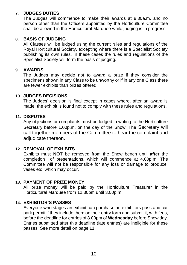#### **7. JUDGES DUTIES**

The Judges will commence to make their awards at 8.30a.m. and no person other than the Officers appointed by the Horticulture Committee shall be allowed in the Horticultural Marquee while judging is in progress.

#### **8. BASIS OF JUDGING**

All Classes will be judged using the current rules and regulations of the Royal Horticultural Society, excepting where there is a Specialist Society publishing its own rules. In these cases the rules and regulations of the Specialist Society will form the basis of judging.

#### **9. AWARDS**

The Judges may decide not to award a prize if they consider the specimens shown in any Class to be unworthy or if in any one Class there are fewer exhibits than prizes offered.

#### **10. JUDGES DECISIONS**

The Judges' decision is final except in cases where, after an award is made, the exhibit is found not to comply with these rules and regulations.

#### **11. DISPUTES**

Any objections or complaints must be lodged in writing to the Horticulture Secretary before 1.00p.m. on the day of the Show. The Secretary will call together members of the Committee to hear the complaint and adjudicate thereon.

#### **12. REMOVAL OF EXHIBITS**

Exhibits must **NOT** be removed from the Show bench until **after** the completion of presentations, which will commence at 4.00p.m. The Committee will not be responsible for any loss or damage to produce, vases etc. which may occur.

#### **13. PAYMENT OF PRIZE MONEY**

All prize money will be paid by the Horticulture Treasurer in the Horticultural Marquee from 12.30pm until 3.00p.m.

#### **14. EXHIBITOR'S PASSES**

Everyone who stages an exhibit can purchase an exhibitors pass and car park permit if they include them on their entry form and submit it, with fees, before the deadline for entries of 8.00pm of **Wednesday** before Show day. Entries submitted after this deadline (late entries) are ineligible for these passes. See more detail on page 11.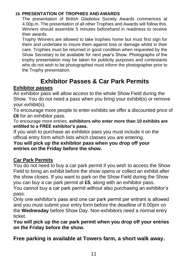#### **15. PRESENTATION OF TROPHIES AND AWARDS**

The presentation of British Gladiolus Society Awards commences at 4.00p.m. The presentation of all other Trophies and Awards will follow this. Winners should assemble 5 minutes beforehand in readiness to receive their awards.

Trophy Winners are allowed to take trophies home but must first sign for them and undertake to insure them against loss or damage whilst in their care. Trophies must be returned in good condition when requested by the Show Secretary to be available for next year's Show. Photographs of the trophy presentation may be taken for publicity purposes and contestants who do not wish to be photographed must inform the photographer prior to the Trophy presentation.

# **Exhibitor Passes & Car Park Permits**

### **Exhibitor passes**

An exhibitor pass will allow access to the whole Show Field during the Show. You do not need a pass when you bring your exhibit(s) or remove your exhibit(s).

To encourage more people to enter exhibits we offer a discounted price of **£6** for an exhibitor pass.

To encourage more entries, **exhibitors who enter more than 10 exhibits are entitled to a FREE exhibitor's pass.** 

If you wish to purchase an exhibitor pass you must include it on the official entry form which lists which classes you are entering.

#### **You will pick up the exhibitor pass when you drop off your entries on the Friday before the show.**

# **Car Park Permits**

You do not need to buy a car park permit if you wish to access the Show Field to bring an exhibit before the show opens or collect an exhibit after the show closes. If you want to park on the Show Field during the Show you can buy a car park permit at **£5**, along with an exhibitor pass.

You cannot buy a car park permit without also purchasing an exhibitor's pass.

Only one exhibitor's pass and one car park permit per entrant is allowed and you must submit your entry form before the deadline of 8.00pm on the **Wednesday** before Show Day. Non-exhibitors need a normal entry ticket.

**You will pick up the car park permit when you drop off your entries on the Friday before the show.** 

**Free parking is available at Towers farm, a short walk away.**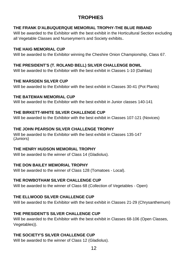# **TROPHIES**

#### **THE FRANK D'ALBUQUERQUE MEMORIAL TROPHY-THE BLUE RIBAND**

Will be awarded to the Exhibitor with the best exhibit in the Horticultural Section excluding all Vegetable Classes and Nurserymen's and Society exhibits.

#### **THE HAIG MEMORIAL CUP**

Will be awarded to the Exhibitor winning the Cheshire Onion Championship, Class 67.

#### **THE PRESIDENT'S (T. ROLAND BELL) SILVER CHALLENGE BOWL**

Will be awarded to the Exhibitor with the best exhibit in Classes 1-10 (Dahlias)

#### **THE MARSDEN SILVER CUP**

Will be awarded to the Exhibitor with the best exhibit in Classes 30-41 (Pot Plants)

#### **THE BATEMAN MEMORIAL CUP**

Will be awarded to the Exhibitor with the best exhibit in Junior classes 140-141

#### **THE BIRKETT-WHITE SILVER CHALLENGE CUP**

Will be awarded to the Exhibitor with the best exhibit in Classes 107-121 (Novices)

#### **THE JOHN PEARSON SILVER CHALLENGE TROPHY**

Will be awarded to the Exhibitor with the best exhibit in Classes 135-147 (Juniors)

#### **THE HENRY HUDSON MEMORIAL TROPHY**

Will be awarded to the winner of Class 14 (Gladiolus).

#### **THE DON BAILEY MEMORIAL TROPHY**

Will be awarded to the winner of Class 128 (Tomatoes - Local).

#### **THE ROWBOTHAM SILVER CHALLENGE CUP**

Will be awarded to the winner of Class 68 (Collection of Vegetables - Open)

#### **THE ELLWOOD SILVER CHALLENGE CUP**

Will be awarded to the Exhibitor with the best exhibit in Classes 21-29 (Chrysanthemum)

#### **THE PRESIDENT'S SILVER CHALLENGE CUP**

Will be awarded to the Exhibitor with the best exhibit in Classes 68-106 (Open Classes, Vegetables)).

#### **THE SOCIETY'S SILVER CHALLENGE CUP**

Will be awarded to the winner of Class 12 (Gladiolus).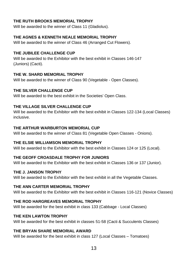#### **THE RUTH BROOKS MEMORIAL TROPHY**

Will be awarded to the winner of Class 11 (Gladiolus).

#### **THE AGNES & KENNETH NEALE MEMORIAL TROPHY**

Will be awarded to the winner of Class 46 (Arranged Cut Flowers).

#### **THE JUBILEE CHALLENGE CUP**

Will be awarded to the Exhibitor with the best exhibit in Classes 146-147 (Juniors) (Cacti).

#### **THE W. SHARD MEMORIAL TROPHY**

Will be awarded to the winner of Class 90 (Vegetable - Open Classes).

#### **THE SILVER CHALLENGE CUP**

Will be awarded to the best exhibit in the Societies' Open Class.

#### **THE VILLAGE SILVER CHALLENGE CUP**

Will be awarded to the Exhibitor with the best exhibit in Classes 122-134 (Local Classes) inclusive.

#### **THE ARTHUR WARBURTON MEMORIAL CUP**

Will be awarded to the winner of Class 81 (Vegetable Open Classes - Onions).

#### **THE ELSIE WILLIAMSON MEMORIAL TROPHY**

Will be awarded to the Exhibitor with the best exhibit in Classes 124 or 125 (Local).

#### **THE GEOFF CROASDALE TROPHY FOR JUNIORS**

Will be awarded to the Exhibitor with the best exhibit in Classes 136 or 137 (Junior).

#### **THE J. JANSON TROPHY**

Will be awarded to the Exhibitor with the best exhibit in all the Vegetable Classes.

#### **THE ANN CARTER MEMORIAL TROPHY**

Will be awarded to the Exhibitor with the best exhibit in Classes 116-121 (Novice Classes)

#### **THE ROD HARGREAVES MEMORIAL TROPHY**

Will be awarded for the best exhibit in class 133 (Cabbage - Local Classes)

#### **THE KEN LAWTON TROPHY**

Will be awarded for the best exhibit in classes 51-58 (Cacti & Succulents Classes)

#### **THE BRYAN SHARE MEMORIAL AWARD**

Will be awarded for the best exhibit in class 127 (Local Classes – Tomatoes)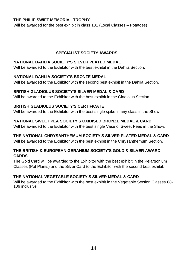#### **THE PHILIP SWIFT MEMORIAL TROPHY**

Will be awarded for the best exhibit in class 131 (Local Classes – Potatoes)

#### **SPECIALIST SOCIETY AWARDS**

#### **NATIONAL DAHLIA SOCIETY'S SILVER PLATED MEDAL**

Will be awarded to the Exhibitor with the best exhibit in the Dahlia Section.

#### **NATIONAL DAHLIA SOCIETY'S BRONZE MEDAL**

Will be awarded to the Exhibitor with the second best exhibit in the Dahlia Section.

#### **BRITISH GLADIOLUS SOCIETY'S SILVER MEDAL & CARD**

Will be awarded to the Exhibitor with the best exhibit in the Gladiolus Section.

#### **BRITISH GLADIOLUS SOCIETY'S CERTIFICATE**

Will be awarded to the Exhibitor with the best single spike in any class in the Show.

#### **NATIONAL SWEET PEA SOCIETY'S OXIDISED BRONZE MEDAL & CARD**

Will be awarded to the Exhibitor with the best single Vase of Sweet Peas in the Show.

#### **THE NATIONAL CHRYSANTHEMUM SOCIETY'S SILVER PLATED MEDAL & CARD**

Will be awarded to the Exhibitor with the best exhibit in the Chrysanthemum Section.

#### **THE BRITISH & EUROPEAN GERANIUM SOCIETY'S GOLD & SILVER AWARD CARDS**

The Gold Card will be awarded to the Exhibitor with the best exhibit in the Pelargonium Classes (Pot Plants) and the Silver Card to the Exhibitor with the second best exhibit.

#### **THE NATIONAL VEGETABLE SOCIETY'S SILVER MEDAL & CARD**

Will be awarded to the Exhibitor with the best exhibit in the Vegetable Section Classes 68- 106 inclusive.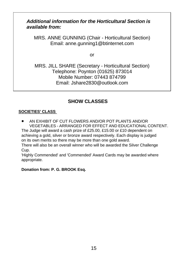### *Additional information for the Horticultural Section is available from:*

MRS. ANNE GUNNING (Chair - Horticultural Section) Email: anne.gunning[1@b](mailto:philip.swift4@btopenworld.com)tinternet.com

or

MRS. JILL SHARE (Secretary - Horticultural Section) Telephone: Poynton (01625) 873014 Mobile Number: 07443 874799 Email: Jshare2830@outlook.com

# **SHOW CLASSES**

#### **SOCIETIES' CLASS**

• AN EXHIBIT OF CUT FLOWERS AND/OR POT PLANTS AND/OR VEGETABLES - ARRANGED FOR EFFECT AND EDUCATIONAL CONTENT.

The Judge will award a cash prize of £25.00, £15.00 or £10 dependent on achieving a gold, silver or bronze award respectively. Each display is judged on its own merits so there may be more than one gold award.

There will also be an overall winner who will be awarded the Silver Challenge Cup.

'Highly Commended' and 'Commended' Award Cards may be awarded where appropriate.

#### **Donation from: P. G. BROOK Esq.**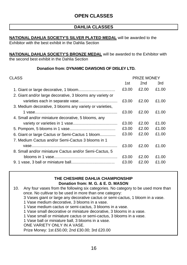### **DAHLIA CLASSES**

#### **NATIONAL DAHLIA SOCIETY'S SILVER PLATED MEDAL** will be awarded to the Exhibitor with the best exhibit in the Dahlia Section

**NATIONAL DAHLIA SOCIETY'S BRONZE MEDAL** will be awarded to the Exhibitor with the second best exhibit in the Dahlia Section

#### **Donation from: DYNAMIC DAWSONS OF DISLEY LTD.**

| CLASS                                                     |       | <b>PRIZE MONEY</b> |       |  |
|-----------------------------------------------------------|-------|--------------------|-------|--|
|                                                           | 1st   | 2 <sub>nd</sub>    | 3rd   |  |
|                                                           | £3.00 | £2.00              | £1.00 |  |
| 2. Giant and/or large decorative, 3 blooms any variety or |       |                    |       |  |
|                                                           | £3.00 | £2.00              | £1.00 |  |
| 3. Medium decorative, 3 blooms any variety or varieties,  |       |                    |       |  |
|                                                           | £3.00 | £2.00              | £1.00 |  |
| 4. Small and/or miniature decorative, 5 blooms, any       |       |                    |       |  |
|                                                           | £3.00 | £2.00              | £1.00 |  |
|                                                           | £3.00 | £2.00              | £1.00 |  |
| 6. Giant or large Cactus or Semi-Cactus 1 bloom           | £3.00 | £2.00              | £1.00 |  |
| 7. Medium Cactus and/or Semi-Cactus 3 blooms in 1         |       |                    |       |  |
|                                                           | £3.00 | £2.00              | £1.00 |  |
| 8. Small and/or miniature Cactus and/or Semi-Cactus, 5    |       |                    |       |  |
|                                                           | £3.00 | £2.00              | £1.00 |  |
|                                                           | £3.00 | £2.00              | £1.00 |  |

#### **THE CHESHIRE DAHLIA CHAMPIONSHIP Donation from: M. G. & E. D. MASON**

10. Any four vases from the following six categories. No category to be used more than once. No cultivar to be used in more than one category:

3 Vases giant or large any decorative cactus or semi-cactus, 1 bloom in a vase.

1 Vase medium decorative, 3 blooms in a vase.

- 1 Vase medium cactus or semi-cactus, 3 blooms in a vase.
- 1 Vase small decorative or miniature decorative, 3 blooms in a vase.

1 Vase small or miniature cactus or semi-cactus, 3 blooms in a vase.

1 Vase ball or miniature ball, 3 blooms in a vase.

ONE VARIETY ONLY IN A VASE.

Prize Money: 1st £50.00; 2nd £30.00; 3rd £20.00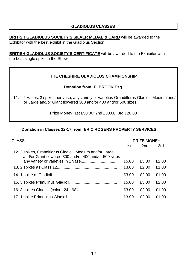#### **GLADIOLUS CLASSES**

#### **BRITISH GLADIOLUS SOCIETY'S SILVER MEDAL & CARD** will be awarded to the

Exhibitor with the best exhibit in the Gladiolus Section.

#### **BRITISH GLADIOLUS SOCIETY'S CERTIFICATE** will be awarded to the Exhibitor with

the best single spike in the Show.

#### **THE CHESHIRE GLADIOLUS CHAMPIONSHIP**

#### **Donation from: P. BROOK Esq.**

11. 2 Vases, 3 spikes per vase, any variety or varieties Grandiflorus Gladioli, Medium and/ or Large and/or Giant flowered 300 and/or 400 and/or 500 sizes

Prize Money: 1st £50.00; 2nd £30.00; 3rd £20.00

#### **Donation in Classes 12-17 from: ERIC ROGERS PROPERTY SERVICES**

| <b>CLASS</b>                                                                                                      |       | <b>PRIZE MONEY</b> |       |  |
|-------------------------------------------------------------------------------------------------------------------|-------|--------------------|-------|--|
|                                                                                                                   | 1st   | 2nd                | 3rd   |  |
| 12. 3 spikes, Grandiflorus Gladioli, Medium and/or Large<br>and/or Giant flowered 300 and/or 400 and/or 500 sizes |       |                    |       |  |
|                                                                                                                   | £5.00 | £3.00              | £2.00 |  |
|                                                                                                                   | £3.00 | f2.00              | £1.00 |  |
|                                                                                                                   | £3.00 | f2.00              | £1.00 |  |
|                                                                                                                   | £5.00 | £3.00              | f2.00 |  |
|                                                                                                                   | £3.00 | £2.00              | £1.00 |  |
|                                                                                                                   | £3.00 | £2.00              | £1.00 |  |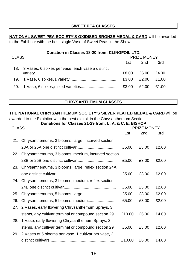#### **SWEET PEA CLASSES**

#### **NATIONAL SWEET PEA SOCIETY'S OXIDISED BRONZE MEDAL & CARD** will be awarded to the Exhibitor with the best single Vase of Sweet Peas in the Show.

#### **Donation in Classes 18-20 from: CLINGFOIL LTD.**

| <b>CLASS</b> |                                                      | <b>PRIZE MONEY</b> |             |       |  |
|--------------|------------------------------------------------------|--------------------|-------------|-------|--|
|              |                                                      | 1st –              | 2nd         | 3rd   |  |
|              | 18. 3 Vases, 6 spikes per vase, each vase a distinct |                    |             |       |  |
|              |                                                      | £8.00              | £6.00       | £4.00 |  |
|              |                                                      | £3.00              | £2.00       | £1.00 |  |
|              |                                                      | £3.00              | £2.00 £1.00 |       |  |

#### **CHRYSANTHEMUM CLASSES**

#### **THE NATIONAL CHRYSANTHEMUM SOCIETY'S SILVER PLATED MEDAL & CARD** will be

awarded to the Exhibitor with the best exhibit in the Chrysanthemum Section.

| CLASS | <b>PRIZE MONEY</b>                                     |        |       |       |
|-------|--------------------------------------------------------|--------|-------|-------|
|       |                                                        | 1st    | 2nd   | 3rd   |
| 21.   | Chrysanthemums, 3 blooms, large, incurved section      |        |       |       |
|       |                                                        | £5.00  | £3.00 | £2.00 |
|       | 22. Chrysanthemums, 3 blooms, medium, incurved section |        |       |       |
|       |                                                        | £5.00  | £3.00 | £2.00 |
| 23.   | Chrysanthemums, 3 blooms, large, reflex section 24A    |        |       |       |
|       |                                                        | £5.00  | £3.00 | £2.00 |
|       | 24. Chrysanthemums, 3 blooms, medium, reflex section   |        |       |       |
|       |                                                        | £5.00  | £3.00 | £2.00 |
| 25.   | Chrysanthemums, 5 blooms, large                        | £5.00  | £3.00 | £2.00 |
| 26.   | Chrysanthemums, 5 blooms, medium                       | £5.00  | £3.00 | £2.00 |
| 27.   | 2 Vases, early flowering Chrysanthemum Sprays, 3       |        |       |       |
|       | stems, any cultivar terminal or compound section 29    | £10.00 | £6.00 | £4.00 |
| 28.   | 1 Vase, early flowering Chrysanthemum Sprays, 3        |        |       |       |
|       | stems, any cultivar terminal or compound section 29    | £5.00  | £3.00 | £2.00 |
| 29.   | 2 Vases of 5 blooms per vase, 1 cultivar per vase, 2   |        |       |       |
|       |                                                        | £10.00 | £6.00 | £4.00 |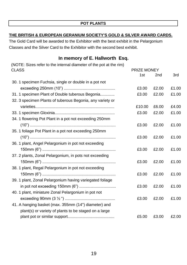#### **POT PLANTS**

#### **THE BRITISH & EUROPEAN GERANIUM SOCIETY'S GOLD & SILVER AWARD CARDS.**

The Gold Card will be awarded to the Exhibitor with the best exhibit in the Pelargonium Classes and the Silver Card to the Exhibitor with the second best exhibit.

#### **In memory of E. Hallworth Esq.**

| (NOTE: Sizes refer to the internal diameter of the pot at the rim) |                    |       |       |
|--------------------------------------------------------------------|--------------------|-------|-------|
| CLASS                                                              | <b>PRIZE MONEY</b> |       |       |
|                                                                    | 1st                | 2nd   | 3rd   |
| 30. 1 specimen Fuchsia, single or double in a pot not              |                    |       |       |
|                                                                    | £3.00              | £2.00 | £1.00 |
| 31. 1 specimen Plant of Double tuberous Begonia                    | £3.00              | £2.00 | £1.00 |
| 32. 3 specimen Plants of tuberous Begonia, any variety or          |                    |       |       |
|                                                                    | £10.00             | £6.00 | £4.00 |
|                                                                    | £3.00              | £2.00 | £1.00 |
| 34. 1 flowering Pot Plant in a pot not exceeding 250mm             |                    |       |       |
|                                                                    | £3.00              | £2.00 | £1.00 |
| 35. 1 foliage Pot Plant in a pot not exceeding 250mm               |                    |       |       |
|                                                                    | £3.00              | £2.00 | £1.00 |
| 36. 1 plant, Angel Pelargonium in pot not exceeding                |                    |       |       |
|                                                                    | £3.00              | £2.00 | £1.00 |
| 37. 2 plants, Zonal Pelargonium, in pots not exceeding             |                    |       |       |
|                                                                    | £3.00              | £2.00 | £1.00 |
| 38. 1 plant, Regal Pelargonium in pot not exceeding                |                    |       |       |
|                                                                    | £3.00              | £2.00 | £1.00 |
| 39. 1 plant, Zonal Pelargonium having variegated foliage           |                    |       |       |
|                                                                    | £3.00              | £2.00 | £1.00 |
| 40. 1 plant, miniature Zonal Pelargonium in pot not                |                    |       |       |
|                                                                    | £3.00              | £2.00 | £1.00 |
| 41. A hanging basket (max. 355mm (14") diameter) and               |                    |       |       |
| plant(s) or variety of plants to be staged on a large              |                    |       |       |
|                                                                    | £5.00              | £3.00 | £2.00 |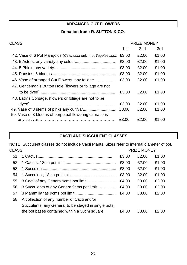#### **ARRANGED CUT FLOWERS**

#### **Donation from: R. SUTTON & CO.**

| CLASS                                                          |       | <b>PRIZE MONEY</b> |       |
|----------------------------------------------------------------|-------|--------------------|-------|
|                                                                | 1st   | 2 <sub>nd</sub>    | 3rd   |
| 42. Vase of 6 Pot Marigolds (Calendula only, not Tagetes spp.) | £3.00 | £2.00              | £1.00 |
|                                                                | £3.00 | £2.00              | £1.00 |
|                                                                | £3.00 | £2.00              | £1.00 |
|                                                                | £3.00 | £2.00              | £1.00 |
| 46. Vase of arranged Cut Flowers, any foliage                  | £3.00 | £2.00              | £1.00 |
| 47. Gentleman's Button Hole (flowers or foliage are not        |       |                    |       |
|                                                                | £3.00 | £2.00              | £1.00 |
| 48. Lady's Corsage, (flowers or foliage are not to be          |       |                    |       |
|                                                                | £3.00 | £2.00              | £1.00 |
|                                                                | £3.00 | £2.00              | £1.00 |
| 50. Vase of 3 blooms of perpetual flowering carnations         |       |                    |       |
|                                                                | £3.00 | £2.00              | £1.00 |

#### **CACTI AND SUCCULENT CLASSES**

NOTE: Succulent classes do not include Cacti Plants. Sizes refer to internal diameter of pot. CLASS PRIZE MONEY

| טש ש |                                                      |       |       |       |  |
|------|------------------------------------------------------|-------|-------|-------|--|
| 51.  |                                                      | £3.00 | £2.00 | £1.00 |  |
|      |                                                      | £3.00 | £2.00 | £1.00 |  |
| 53.  |                                                      | £3.00 | £2.00 | £1.00 |  |
|      |                                                      |       | £2.00 | £1.00 |  |
|      |                                                      |       | £3.00 | £2.00 |  |
|      |                                                      |       | £3.00 | £2.00 |  |
|      |                                                      |       | £3.00 | £2.00 |  |
|      | 58. A collection of any number of Cacti and/or       |       |       |       |  |
|      | Succulents, any Genera, to be staged in single pots, |       |       |       |  |
|      | the pot bases contained within a 30cm square         | £4.00 | £3.00 | £2.00 |  |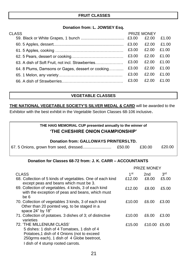#### **FRUIT CLASSES**

#### **Donation from: L. JOWSEY Esq.**

| CLASS                                             |       | <b>PRIZE MONEY</b> |       |
|---------------------------------------------------|-------|--------------------|-------|
|                                                   |       | £2.00              | £1.00 |
|                                                   | £3.00 | £2.00              | £1.00 |
|                                                   | £3.00 | £2.00              | £1.00 |
|                                                   | £3.00 | £2.00              | £1.00 |
| 63. A dish of Soft Fruit, not incl. Strawberries  | £3.00 | £2.00              | £1.00 |
| 64. 8 Plums, Damsons or Gages, dessert or cooking | £3.00 | £2.00              | £1.00 |
|                                                   | £3.00 | £2.00              | £1.00 |
|                                                   | £3.00 | £2.00              | £1.00 |
|                                                   |       |                    |       |

#### **VEGETABLE CLASSES**

**THE NATIONAL VEGETABLE SOCIETY'S SILVER MEDAL & CARD** will be awarded to the Exhibitor with the best exhibit in the Vegetable Section Classes 68-106 inclusive.

| THE HAIG MEMORIAL CUP presented annually to the winner of<br><b>'THE CHESHIRE ONION CHAMPIONSHIP'</b> |        |        |        |  |
|-------------------------------------------------------------------------------------------------------|--------|--------|--------|--|
| Donation from: GALLOWAYS PRINTERSLTD.                                                                 |        |        |        |  |
|                                                                                                       | £50.00 | £30.00 | £20.00 |  |

### **Donation for Classes 68-72 from: J. K. CARR – ACCOUNTANTS**

|                                                                                                                                                                      | <b>PRIZE MONEY</b> |        |                 |  |
|----------------------------------------------------------------------------------------------------------------------------------------------------------------------|--------------------|--------|-----------------|--|
| <b>CLASS</b>                                                                                                                                                         | 1st                | 2nd    | 3 <sup>rd</sup> |  |
| 68. Collection of 5 kinds of vegetables. One of each kind<br>except peas and beans which must be 3.                                                                  | £12.00             | £8.00  | £5.00           |  |
| 69. Collection of vegetables. 4 kinds, 3 of each kind<br>with the exception of peas and beans, which must<br>be 6                                                    | £12.00             | £8.00  | £5.00           |  |
| 70. Collection of vegetables 3 kinds, 3 of each kind<br>Other than 20 pointed yeg, to be staged in a<br>space 24" by 18"                                             | £10.00             | £6.00  | £3.00           |  |
| 71. Collection of potatoes. 3 dishes of 3; of distinctive<br>varieties                                                                                               | £10.00             | £6.00  | £3.00           |  |
| 72. 'THE MILLENIUM CLASS'<br>5 dishes: 1 dish of 4 Tomatoes, 1 dish of 4<br>Potatoes,1 dish of 4 Onions (not to exceed<br>250grms each), 1 dish of 4 Globe beetroot, | £15.00             | £10.00 | £5.00           |  |
| I dish of 4 stump rooted carrots.                                                                                                                                    |                    |        |                 |  |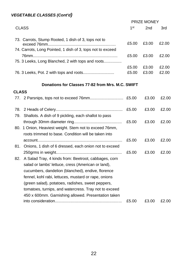#### *VEGETABLE CLASSES (Cont'd)*

|                                                              | PRIZE MONEY     |                 |                |
|--------------------------------------------------------------|-----------------|-----------------|----------------|
| <b>CLASS</b>                                                 | 1 <sup>st</sup> | 2 <sub>nd</sub> | 3rd            |
| 73. Carrots, Stump Rooted, 1 dish of 3, tops not to          | £5.00           | £3.00           | £2.00          |
| 74. Carrots, Long Pointed, 1 dish of 3, tops not to exceed   |                 |                 |                |
|                                                              | £5.00           | £3.00           | £2.00          |
| 75. 3 Leeks, Long Blanched, 2 with tops and roots            |                 |                 |                |
|                                                              | £5.00<br>£5.00  | £3.00<br>£3.00  | £2.00<br>£2.00 |
|                                                              |                 |                 |                |
| Donations for Classes 77-82 from Mrs. M.C. SWIFT             |                 |                 |                |
| <b>CLASS</b>                                                 |                 |                 |                |
|                                                              | £5.00           | £3.00           | £2.00          |
| 78.                                                          | £5.00           | £3.00           | £2.00          |
| Shallots. A dish of 9 pickling, each shallot to pass<br>79.  |                 |                 |                |
|                                                              | £5.00           | £3.00           | £2.00          |
| 80. 1 Onion, Heaviest weight. Stem not to exceed 76mm,       |                 |                 |                |
| roots trimmed to base. Condition will be taken into          |                 |                 |                |
|                                                              | £5.00           | £3.00           | £2.00          |
| Onions, 1 dish of 6 dressed, each onion not to exceed<br>81. |                 |                 |                |
|                                                              | £5.00           | £3.00           | £2.00          |
| A Salad Tray, 4 kinds from: Beetroot, cabbages, corn<br>82.  |                 |                 |                |
| salad or lambs' lettuce, cress (American or land),           |                 |                 |                |
| cucumbers, dandelion (blanched), endive, florence            |                 |                 |                |
| fennel, kohl rabi, lettuces, mustard or rape, onions         |                 |                 |                |
| (green salad), potatoes, radishes, sweet peppers,            |                 |                 |                |
| tomatoes, turnips, and watercress. Tray not to exceed        |                 |                 |                |
| 450 x 600mm. Garnishing allowed. Presentation taken          |                 |                 |                |
|                                                              | £5.00           | £3.00           | £2.00          |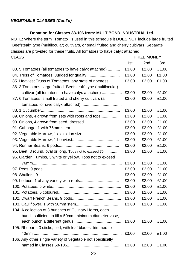#### *VEGETABLE CLASSES (Cont'd)*

#### **Donation for Classes 83-106 from: MULTIBOND INDUSTRIAL Ltd.**

NOTE: Where the term "Tomato" is used in this schedule it DOES NOT include large fruited "Beefsteak" type (multilocular) cultivars, or small fruited and cherry cultivars. Separate classes are provided for these fruits. All tomatoes to have calyx attached.

| CLASS                                                         |       | <b>PRIZE MONEY</b> |       |
|---------------------------------------------------------------|-------|--------------------|-------|
|                                                               | 1st   | 2nd                | 3rd   |
| 83.5 Tomatoes (all tomatoes to have calyx attached)           | £3.00 | £2.00              | £1.00 |
|                                                               | £3.00 | £2.00              | £1.00 |
| 85. Heaviest Truss of Tomatoes, any state of ripeness         | £3.00 | £2.00              | £1.00 |
| 86. 3 Tomatoes, large fruited "Beefsteak" type (multilocular) |       |                    |       |
| cultivar (all tomatoes to have calyx attached)                | £3.00 | £2.00              | £1.00 |
| 87. 6 Tomatoes, small fruited and cherry cultivars (all       | £3.00 | £2.00              | £1.00 |
|                                                               |       |                    |       |
|                                                               | £3.00 | £2.00              | £1.00 |
| 89. Onions, 4 grown from sets with roots and tops             | £3.00 | £2.00              | £1.00 |
|                                                               | £3.00 | £2.00              | £1.00 |
|                                                               | £3.00 | £2.00              | £1.00 |
| 92. Vegetable Marrow, 1 exhibition size                       | £3.00 | £2.00              | £1.00 |
|                                                               | £3.00 | £2.00              | £1.00 |
|                                                               | £3.00 | £2.00              | £1.00 |
| 95. Beet, 3 round, oval or long. Tops not to exceed 76mm      | £3.00 | £2.00              | £1.00 |
| 96. Garden Turnips, 3 white or yellow. Tops not to exceed     |       |                    |       |
|                                                               | £3.00 | £2.00              | £1.00 |
|                                                               | £3.00 | £2.00              | £1.00 |
|                                                               | £3.00 | £2.00              | £1.00 |
|                                                               | £3.00 | £2.00              | £1.00 |
|                                                               | £3.00 | £2.00              | £1.00 |
|                                                               | £3.00 | £2.00              | £1.00 |
|                                                               | £3.00 | £2.00              | £1.00 |
|                                                               | £3.00 | £1.00              | £1.00 |
| 104. A collection of 3 bunches of Culinary Herbs, each        |       |                    |       |
| bunch sufficient to fill a 50mm minimum diameter vase,        |       |                    |       |
|                                                               | £3.00 | £2.00              | £1.00 |
| 105. Rhubarb, 3 sticks, tied, with leaf blades, trimmed to    |       |                    |       |
|                                                               | £3.00 | £2.00              | £1.00 |
| 106. Any other single variety of vegetable not specifically   |       |                    |       |
|                                                               | £3.00 | £2.00              | £1.00 |
|                                                               |       |                    |       |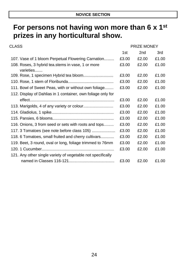# **For persons not having won more than 6 x 1st prizes in any horticultural show.**

| CLASS                                                          |       | <b>PRIZE MONEY</b> |       |  |
|----------------------------------------------------------------|-------|--------------------|-------|--|
|                                                                | 1st   | 2nd                | 3rd   |  |
| 107. Vase of 1 bloom Perpetual Flowering Carnation             | £3.00 | £2.00              | £1.00 |  |
| 108. Roses, 3 hybrid tea.stems in vase, 1 or more<br>varieties | £3.00 | £2.00              | £1.00 |  |
|                                                                | £3.00 | £2.00              | £1.00 |  |
|                                                                | £3.00 | £2.00              | £1.00 |  |
| 111. Bowl of Sweet Peas, with or without own foliage           | £3.00 | £2.00              | £1.00 |  |
| 112. Display of Dahlias in 1 container, own foliage only for   |       |                    |       |  |
|                                                                | £3.00 | £2.00              | £1.00 |  |
|                                                                | £3.00 | £2.00              | £1.00 |  |
|                                                                | £3.00 | £2.00              | £1.00 |  |
|                                                                | £3.00 | £2.00              | £1.00 |  |
| 116. Onions, 3 from seed or sets with roots and tops           | £3.00 | £2.00              | £1.00 |  |
| 117. 3 Tomatoes (see note before class 105)                    | £3.00 | £2.00              | £1.00 |  |
| 118. 6 Tomatoes, small fruited and cherry cultivars            | £3.00 | £2.00              | £1.00 |  |
| 119. Beet, 3 round, oval or long, foliage trimmed to 76mm      | £3.00 | £2.00              | £1.00 |  |
|                                                                | £3.00 | £2.00              | £1.00 |  |
| 121. Any other single variety of vegetable not specifically    |       |                    |       |  |
|                                                                | £3.00 | £2.00              | £1.00 |  |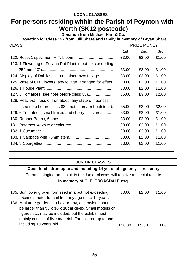#### **LOCAL CLASSES**

# **For persons residing within the Parish of Poynton-with-Worth (SK12 postcode)**

**Donation from Michael Hart & Co.**

#### **Donation for Class 127 from: Jill Share and family in memory of Bryan Share**

| <b>CLASS</b>                                                |       | PRIZE MONEY     |       |  |
|-------------------------------------------------------------|-------|-----------------|-------|--|
|                                                             | 1st   | 2 <sub>nd</sub> | 3rd   |  |
|                                                             | £3.00 | £2.00           | £1.00 |  |
| 123. 1 Flowering or Foliage Pot Plant in pot not exceeding  |       |                 |       |  |
|                                                             | £3.00 | £2.00           | £1.00 |  |
| 124. Display of Dahlias in 1 container, own foliage         | £3.00 | £2.00           | £1.00 |  |
| 125. Vase of Cut Flowers, any foliage, arranged for effect. | £3.00 | £2.00           | £1.00 |  |
|                                                             | £3.00 | £2.00           | £1.00 |  |
| 127. 5 Tomatoes (see note before class 83)                  | £5.00 | £3.00           | £2.00 |  |
| 128. Heaviest Truss of Tomatoes, any state of ripeness      |       |                 |       |  |
| (see note before class 83 – not cherry or beefsteak).       | £5.00 | £3.00           | £2.00 |  |
| 129. 6 Tomatoes, small fruited and cherry cultivars         | £3.00 | £2.00           | £1.00 |  |
|                                                             | £3.00 | £2.00           | £1.00 |  |
|                                                             | £3.00 | £2.00           | £1.00 |  |
|                                                             | £3.00 | £2.00           | £1.00 |  |
|                                                             | £3.00 | £2.00           | £1.00 |  |
|                                                             | £3.00 | £2.00           | £1.00 |  |

#### **JUNIOR CLASSES**

#### **Open to children up to and including 14 years of age only – free entry**

Entrants staging an exhibit in the Junior classes will receive a special rosette **In memory of G. F. CROASDALE esq.**

| 135. Sunflower grown from seed in a pot not exceeding          | £3.00  | £2.00 | £1.00 |
|----------------------------------------------------------------|--------|-------|-------|
| 25cm diameter for children any age up to 14 years              |        |       |       |
| 136. Miniature garden in a box or tray, dimensions not to      |        |       |       |
| be larger than 90 x 30 x 10cm deep. Small models or            |        |       |       |
| figures etc. may be included, but the exhibit must             |        |       |       |
| mainly consist of <b>live</b> material. For children up to and |        |       |       |
|                                                                | £10.00 | £5.00 | £3.00 |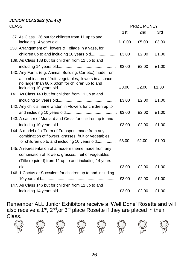# *JUNIOR CLASSES (Cont'd)*

| <b>CLASS</b>                                                                                                                                                 |       | PRIZE MONEY |       |  |
|--------------------------------------------------------------------------------------------------------------------------------------------------------------|-------|-------------|-------|--|
|                                                                                                                                                              | 1st   | 2nd         | 3rd   |  |
| 137. As Class 136 but for children from 11 up to and                                                                                                         |       | £5.00       | £3.00 |  |
| 138. Arrangement of Flowers & Foliage in a vase, for                                                                                                         |       |             |       |  |
|                                                                                                                                                              | £3.00 | £2.00       | £1.00 |  |
| 139. As Class 138 but for children from 11 up to and                                                                                                         |       |             |       |  |
|                                                                                                                                                              | £3.00 | £2.00       | £1.00 |  |
| 140. Any Form, (e.g. Animal, Building, Car etc.) made from                                                                                                   |       |             |       |  |
| a combination of fruit, vegetables, flowers in a space<br>no larger than 60 x 60cm for children up to and                                                    | £3.00 | £2.00       | £1.00 |  |
| 141. As Class 140 but for children from 11 up to and                                                                                                         |       |             |       |  |
|                                                                                                                                                              | £3.00 | £2.00       | £1.00 |  |
| 142. Any child's name written in Flowers for children up to                                                                                                  |       |             |       |  |
|                                                                                                                                                              | £3.00 | £2.00       | £1.00 |  |
| 143. A saucer of Mustard and Cress for children up to and                                                                                                    |       |             |       |  |
|                                                                                                                                                              | £3.00 | £2.00       | £1.00 |  |
| 144. A model of a 'Form of Transport' made from any<br>combination of flowers, grasses, fruit or vegetables<br>for children up to and including 10 years old | £3.00 | £2.00       | £1.00 |  |
| 145. A representation of a modern theme made from any<br>combination of flowers, grasses, fruit or vegetables.                                               |       |             |       |  |
| (Title required) from 11 up to and including 14 years                                                                                                        |       |             |       |  |
|                                                                                                                                                              | £3.00 | £2.00       | £1.00 |  |
| 146. 1 Cactus or Succulent for children up to and including                                                                                                  | £3.00 | £2.00       | £1.00 |  |
| 147. As Class 146 but for children from 11 up to and                                                                                                         |       |             |       |  |
|                                                                                                                                                              | £3.00 | £2.00       | £1.00 |  |

Remember ALL Junior Exhibitors receive a 'Well Done' Rosette and will also receive a 1<sup>st</sup>, 2<sup>nd</sup>, or 3<sup>rd</sup> place Rosette if they are placed in their Class.

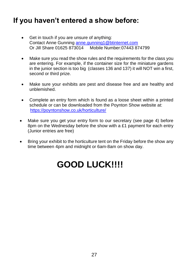# **If you haven't entered a show before:**

- Get in touch if you are unsure of anything: Contact Anne Gunning [anne.gunning1@btinternet.com](mailto:anne.gunning1@btinternet.com) Or Jill Share 01625 873014 Mobile Number:07443 874799
- Make sure you read the show rules and the requirements for the class you are entering. For example, if the container size for the miniature gardens in the junior section is too big (classes 136 and 137) it will NOT win a first, second or third prize.
- Make sure your exhibits are pest and disease free and are healthy and unblemished.
- Complete an entry form which is found as a loose sheet within a printed schedule or can be downloaded from the Poynton Show website at: <https://poyntonshow.co.uk/horticulture/>
- Make sure you get your entry form to our secretary (see page 4) before 8pm on the Wednesday before the show with a £1 payment for each entry (Junior entries are free)
- Bring your exhibit to the horticulture tent on the Friday before the show any time between 4pm and midnight or 6am-8am on show day.

# **GOOD LUCK!!!!**